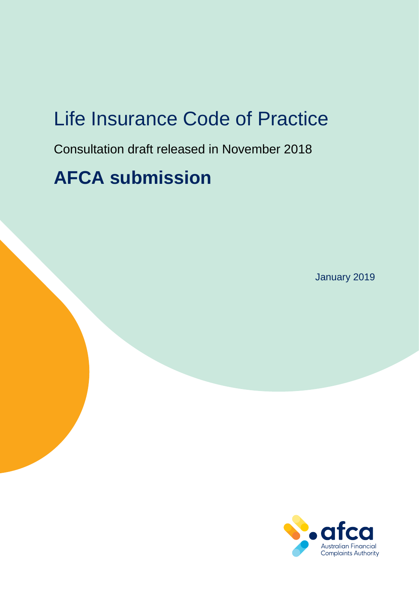# Life Insurance Code of Practice

Consultation draft released in November 2018

# **AFCA submission**

January 2019

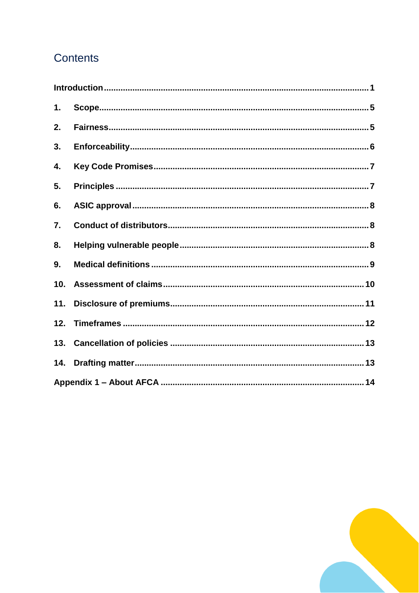# Contents

| 1.  |  |  |  |
|-----|--|--|--|
| 2.  |  |  |  |
| 3.  |  |  |  |
| 4.  |  |  |  |
| 5.  |  |  |  |
| 6.  |  |  |  |
| 7.  |  |  |  |
| 8.  |  |  |  |
| 9.  |  |  |  |
| 10. |  |  |  |
| 11. |  |  |  |
| 12. |  |  |  |
| 13. |  |  |  |
| 14. |  |  |  |
|     |  |  |  |

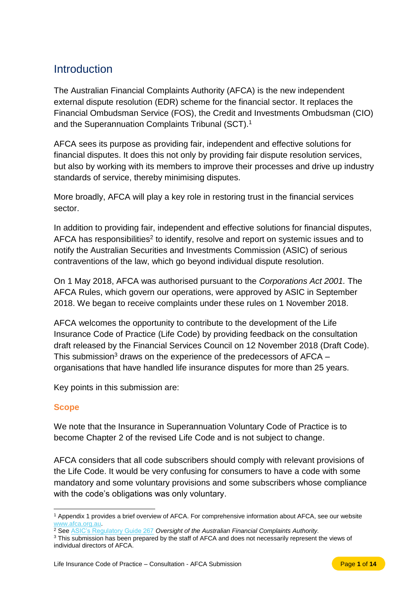# <span id="page-2-0"></span>Introduction

The Australian Financial Complaints Authority (AFCA) is the new independent external dispute resolution (EDR) scheme for the financial sector. It replaces the Financial Ombudsman Service (FOS), the Credit and Investments Ombudsman (CIO) and the Superannuation Complaints Tribunal (SCT). 1

AFCA sees its purpose as providing fair, independent and effective solutions for financial disputes. It does this not only by providing fair dispute resolution services, but also by working with its members to improve their processes and drive up industry standards of service, thereby minimising disputes.

More broadly, AFCA will play a key role in restoring trust in the financial services sector.

In addition to providing fair, independent and effective solutions for financial disputes, AFCA has responsibilities<sup>2</sup> to identify, resolve and report on systemic issues and to notify the Australian Securities and Investments Commission (ASIC) of serious contraventions of the law, which go beyond individual dispute resolution.

On 1 May 2018, AFCA was authorised pursuant to the *Corporations Act 2001.* The AFCA Rules, which govern our operations, were approved by ASIC in September 2018. We began to receive complaints under these rules on 1 November 2018.

AFCA welcomes the opportunity to contribute to the development of the Life Insurance Code of Practice (Life Code) by providing feedback on the consultation draft released by the Financial Services Council on 12 November 2018 (Draft Code). This submission<sup>3</sup> draws on the experience of the predecessors of  $\text{AFCA}$  – organisations that have handled life insurance disputes for more than 25 years.

Key points in this submission are:

### **Scope**

We note that the Insurance in Superannuation Voluntary Code of Practice is to become Chapter 2 of the revised Life Code and is not subject to change.

AFCA considers that all code subscribers should comply with relevant provisions of the Life Code. It would be very confusing for consumers to have a code with some mandatory and some voluntary provisions and some subscribers whose compliance with the code's obligations was only voluntary.

 $\overline{a}$ <sup>1</sup> Appendix 1 provides a brief overview of AFCA. For comprehensive information about AFCA, see our website [www.afca.org.au.](http://www.afca.org.au/)

<sup>2</sup> See [ASIC's Regulatory Guide 267](https://download.asic.gov.au/media/4773579/rg267-published-20-june-2018.pdf) *Oversight of the Australian Financial Complaints Authority.*

<sup>&</sup>lt;sup>3</sup> This submission has been prepared by the staff of AFCA and does not necessarily represent the views of individual directors of AFCA.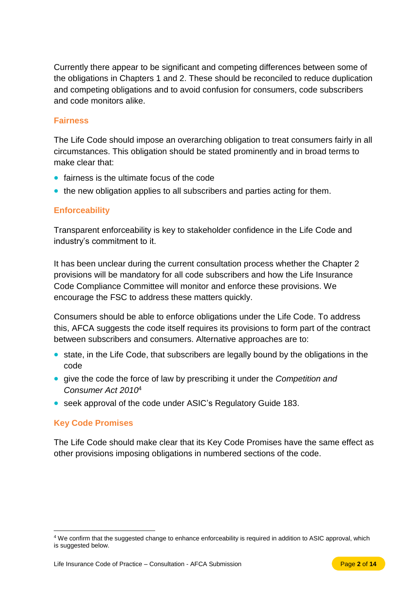Currently there appear to be significant and competing differences between some of the obligations in Chapters 1 and 2. These should be reconciled to reduce duplication and competing obligations and to avoid confusion for consumers, code subscribers and code monitors alike.

### **Fairness**

The Life Code should impose an overarching obligation to treat consumers fairly in all circumstances. This obligation should be stated prominently and in broad terms to make clear that:

- fairness is the ultimate focus of the code
- the new obligation applies to all subscribers and parties acting for them.

### **Enforceability**

Transparent enforceability is key to stakeholder confidence in the Life Code and industry's commitment to it.

It has been unclear during the current consultation process whether the Chapter 2 provisions will be mandatory for all code subscribers and how the Life Insurance Code Compliance Committee will monitor and enforce these provisions. We encourage the FSC to address these matters quickly.

Consumers should be able to enforce obligations under the Life Code. To address this, AFCA suggests the code itself requires its provisions to form part of the contract between subscribers and consumers. Alternative approaches are to:

- state, in the Life Code, that subscribers are legally bound by the obligations in the code
- give the code the force of law by prescribing it under the *Competition and Consumer Act 2010*<sup>4</sup>
- seek approval of the code under ASIC's Regulatory Guide 183.

### **Key Code Promises**

 $\overline{a}$ 

The Life Code should make clear that its Key Code Promises have the same effect as other provisions imposing obligations in numbered sections of the code.

<sup>4</sup> We confirm that the suggested change to enhance enforceability is required in addition to ASIC approval, which is suggested below.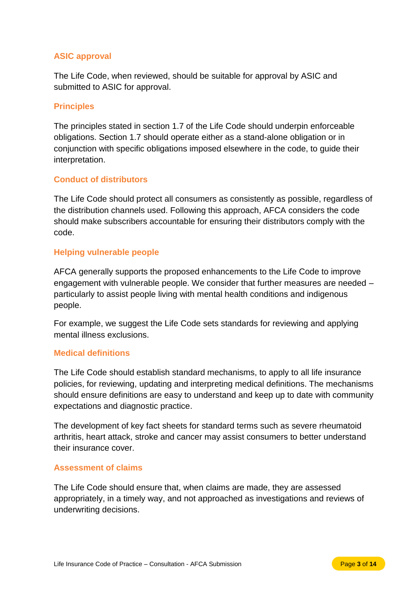### **ASIC approval**

The Life Code, when reviewed, should be suitable for approval by ASIC and submitted to ASIC for approval.

#### **Principles**

The principles stated in section 1.7 of the Life Code should underpin enforceable obligations. Section 1.7 should operate either as a stand-alone obligation or in conjunction with specific obligations imposed elsewhere in the code, to guide their interpretation.

#### **Conduct of distributors**

The Life Code should protect all consumers as consistently as possible, regardless of the distribution channels used. Following this approach, AFCA considers the code should make subscribers accountable for ensuring their distributors comply with the code.

#### **Helping vulnerable people**

AFCA generally supports the proposed enhancements to the Life Code to improve engagement with vulnerable people. We consider that further measures are needed – particularly to assist people living with mental health conditions and indigenous people.

For example, we suggest the Life Code sets standards for reviewing and applying mental illness exclusions.

#### **Medical definitions**

The Life Code should establish standard mechanisms, to apply to all life insurance policies, for reviewing, updating and interpreting medical definitions. The mechanisms should ensure definitions are easy to understand and keep up to date with community expectations and diagnostic practice.

The development of key fact sheets for standard terms such as severe rheumatoid arthritis, heart attack, stroke and cancer may assist consumers to better understand their insurance cover.

#### **Assessment of claims**

The Life Code should ensure that, when claims are made, they are assessed appropriately, in a timely way, and not approached as investigations and reviews of underwriting decisions.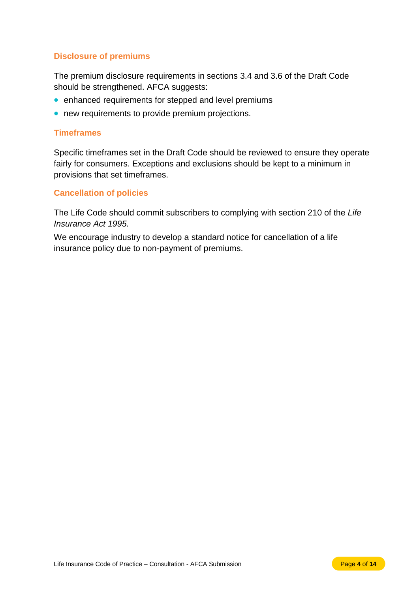### **Disclosure of premiums**

The premium disclosure requirements in sections 3.4 and 3.6 of the Draft Code should be strengthened. AFCA suggests:

- enhanced requirements for stepped and level premiums
- new requirements to provide premium projections.

#### **Timeframes**

Specific timeframes set in the Draft Code should be reviewed to ensure they operate fairly for consumers. Exceptions and exclusions should be kept to a minimum in provisions that set timeframes.

### **Cancellation of policies**

The Life Code should commit subscribers to complying with section 210 of the *Life Insurance Act 1995.*

We encourage industry to develop a standard notice for cancellation of a life insurance policy due to non-payment of premiums.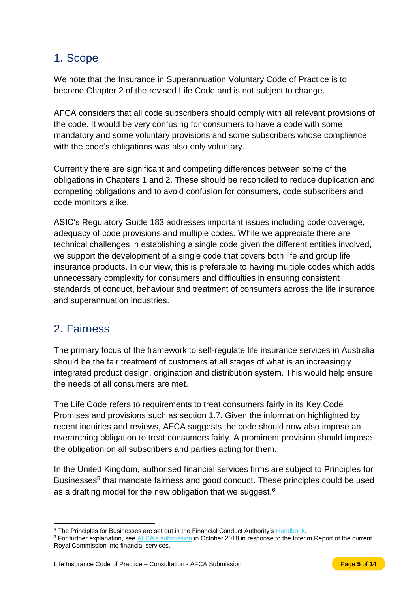### <span id="page-6-0"></span>1. Scope

We note that the Insurance in Superannuation Voluntary Code of Practice is to become Chapter 2 of the revised Life Code and is not subject to change.

AFCA considers that all code subscribers should comply with all relevant provisions of the code. It would be very confusing for consumers to have a code with some mandatory and some voluntary provisions and some subscribers whose compliance with the code's obligations was also only voluntary.

Currently there are significant and competing differences between some of the obligations in Chapters 1 and 2. These should be reconciled to reduce duplication and competing obligations and to avoid confusion for consumers, code subscribers and code monitors alike.

ASIC's Regulatory Guide 183 addresses important issues including code coverage, adequacy of code provisions and multiple codes. While we appreciate there are technical challenges in establishing a single code given the different entities involved, we support the development of a single code that covers both life and group life insurance products. In our view, this is preferable to having multiple codes which adds unnecessary complexity for consumers and difficulties in ensuring consistent standards of conduct, behaviour and treatment of consumers across the life insurance and superannuation industries.

### <span id="page-6-1"></span>2. Fairness

The primary focus of the framework to self-regulate life insurance services in Australia should be the fair treatment of customers at all stages of what is an increasingly integrated product design, origination and distribution system. This would help ensure the needs of all consumers are met.

The Life Code refers to requirements to treat consumers fairly in its Key Code Promises and provisions such as section 1.7. Given the information highlighted by recent inquiries and reviews, AFCA suggests the code should now also impose an overarching obligation to treat consumers fairly. A prominent provision should impose the obligation on all subscribers and parties acting for them.

In the United Kingdom, authorised financial services firms are subject to Principles for Businesses<sup>5</sup> that mandate fairness and good conduct. These principles could be used as a drafting model for the new obligation that we suggest. $6$ 

 $\overline{a}$ <sup>5</sup> The Principles for Businesses are set out in the Financial Conduct Authority's [Handbook.](https://www.handbook.fca.org.uk/)

<sup>&</sup>lt;sup>6</sup> For further explanation, see [AFCA's submission](https://www.afca.org.au/about-afca/submissions/) in October 2018 in response to the Interim Report of the current Royal Commission into financial services.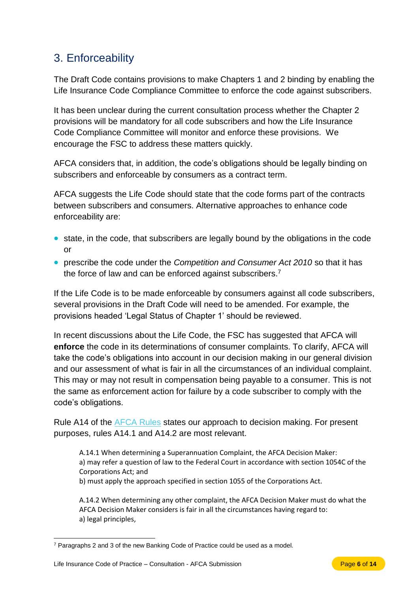# <span id="page-7-0"></span>3. Enforceability

The Draft Code contains provisions to make Chapters 1 and 2 binding by enabling the Life Insurance Code Compliance Committee to enforce the code against subscribers.

It has been unclear during the current consultation process whether the Chapter 2 provisions will be mandatory for all code subscribers and how the Life Insurance Code Compliance Committee will monitor and enforce these provisions. We encourage the FSC to address these matters quickly.

AFCA considers that, in addition, the code's obligations should be legally binding on subscribers and enforceable by consumers as a contract term.

AFCA suggests the Life Code should state that the code forms part of the contracts between subscribers and consumers. Alternative approaches to enhance code enforceability are:

- state, in the code, that subscribers are legally bound by the obligations in the code or
- prescribe the code under the *Competition and Consumer Act 2010* so that it has the force of law and can be enforced against subscribers.<sup>7</sup>

If the Life Code is to be made enforceable by consumers against all code subscribers, several provisions in the Draft Code will need to be amended. For example, the provisions headed 'Legal Status of Chapter 1' should be reviewed.

In recent discussions about the Life Code, the FSC has suggested that AFCA will **enforce** the code in its determinations of consumer complaints. To clarify, AFCA will take the code's obligations into account in our decision making in our general division and our assessment of what is fair in all the circumstances of an individual complaint. This may or may not result in compensation being payable to a consumer. This is not the same as enforcement action for failure by a code subscriber to comply with the code's obligations.

Rule A14 of the [AFCA Rules](https://www.afca.org.au/about-afca/rules-and-guidelines/rules/) states our approach to decision making. For present purposes, rules A14.1 and A14.2 are most relevant.

A.14.1 When determining a Superannuation Complaint, the AFCA Decision Maker: a) may refer a question of law to the Federal Court in accordance with section 1054C of the Corporations Act; and

b) must apply the approach specified in section 1055 of the Corporations Act.

A.14.2 When determining any other complaint, the AFCA Decision Maker must do what the AFCA Decision Maker considers is fair in all the circumstances having regard to: a) legal principles,

 $\overline{a}$ <sup>7</sup> Paragraphs 2 and 3 of the new Banking Code of Practice could be used as a model.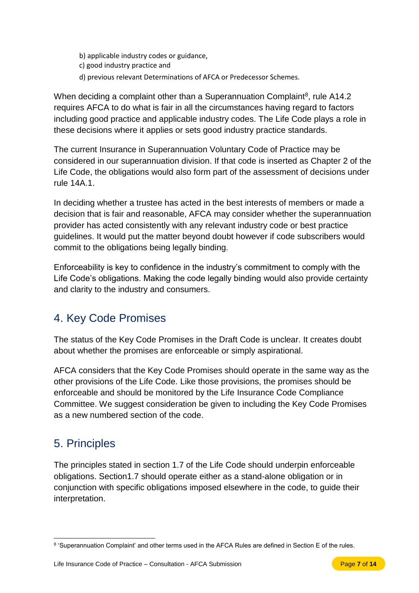- b) applicable industry codes or guidance,
- c) good industry practice and
- d) previous relevant Determinations of AFCA or Predecessor Schemes.

When deciding a complaint other than a Superannuation Complaint<sup>8</sup>, rule A14.2 requires AFCA to do what is fair in all the circumstances having regard to factors including good practice and applicable industry codes. The Life Code plays a role in these decisions where it applies or sets good industry practice standards.

The current Insurance in Superannuation Voluntary Code of Practice may be considered in our superannuation division. If that code is inserted as Chapter 2 of the Life Code, the obligations would also form part of the assessment of decisions under rule 14A.1.

In deciding whether a trustee has acted in the best interests of members or made a decision that is fair and reasonable, AFCA may consider whether the superannuation provider has acted consistently with any relevant industry code or best practice guidelines. It would put the matter beyond doubt however if code subscribers would commit to the obligations being legally binding.

Enforceability is key to confidence in the industry's commitment to comply with the Life Code's obligations. Making the code legally binding would also provide certainty and clarity to the industry and consumers.

# <span id="page-8-0"></span>4. Key Code Promises

The status of the Key Code Promises in the Draft Code is unclear. It creates doubt about whether the promises are enforceable or simply aspirational.

AFCA considers that the Key Code Promises should operate in the same way as the other provisions of the Life Code. Like those provisions, the promises should be enforceable and should be monitored by the Life Insurance Code Compliance Committee. We suggest consideration be given to including the Key Code Promises as a new numbered section of the code.

## <span id="page-8-1"></span>5. Principles

The principles stated in section 1.7 of the Life Code should underpin enforceable obligations. Section1.7 should operate either as a stand-alone obligation or in conjunction with specific obligations imposed elsewhere in the code, to guide their interpretation.

 $\overline{a}$ <sup>8</sup> 'Superannuation Complaint' and other terms used in the AFCA Rules are defined in Section E of the rules.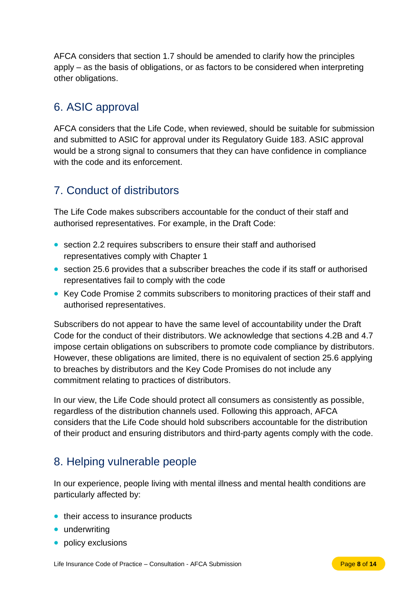AFCA considers that section 1.7 should be amended to clarify how the principles apply – as the basis of obligations, or as factors to be considered when interpreting other obligations.

# <span id="page-9-0"></span>6. ASIC approval

AFCA considers that the Life Code, when reviewed, should be suitable for submission and submitted to ASIC for approval under its Regulatory Guide 183. ASIC approval would be a strong signal to consumers that they can have confidence in compliance with the code and its enforcement.

# <span id="page-9-1"></span>7. Conduct of distributors

The Life Code makes subscribers accountable for the conduct of their staff and authorised representatives. For example, in the Draft Code:

- section 2.2 requires subscribers to ensure their staff and authorised representatives comply with Chapter 1
- section 25.6 provides that a subscriber breaches the code if its staff or authorised representatives fail to comply with the code
- Key Code Promise 2 commits subscribers to monitoring practices of their staff and authorised representatives.

Subscribers do not appear to have the same level of accountability under the Draft Code for the conduct of their distributors. We acknowledge that sections 4.2B and 4.7 impose certain obligations on subscribers to promote code compliance by distributors. However, these obligations are limited, there is no equivalent of section 25.6 applying to breaches by distributors and the Key Code Promises do not include any commitment relating to practices of distributors.

In our view, the Life Code should protect all consumers as consistently as possible, regardless of the distribution channels used. Following this approach, AFCA considers that the Life Code should hold subscribers accountable for the distribution of their product and ensuring distributors and third-party agents comply with the code.

## <span id="page-9-2"></span>8. Helping vulnerable people

In our experience, people living with mental illness and mental health conditions are particularly affected by:

- their access to insurance products
- underwriting
- policy exclusions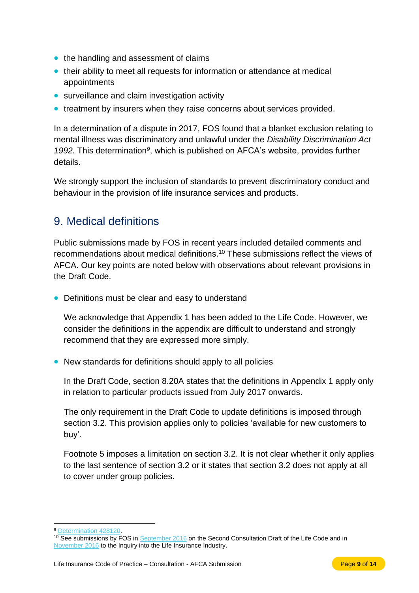- the handling and assessment of claims
- their ability to meet all requests for information or attendance at medical appointments
- surveillance and claim investigation activity
- treatment by insurers when they raise concerns about services provided.

In a determination of a dispute in 2017, FOS found that a blanket exclusion relating to mental illness was discriminatory and unlawful under the *Disability Discrimination Act*  1992. This determination<sup>9</sup>, which is published on AFCA's website, provides further details.

We strongly support the inclusion of standards to prevent discriminatory conduct and behaviour in the provision of life insurance services and products.

## <span id="page-10-0"></span>9. Medical definitions

Public submissions made by FOS in recent years included detailed comments and recommendations about medical definitions.<sup>10</sup> These submissions reflect the views of AFCA. Our key points are noted below with observations about relevant provisions in the Draft Code.

• Definitions must be clear and easy to understand

We acknowledge that Appendix 1 has been added to the Life Code. However, we consider the definitions in the appendix are difficult to understand and strongly recommend that they are expressed more simply.

• New standards for definitions should apply to all policies

In the Draft Code, section 8.20A states that the definitions in Appendix 1 apply only in relation to particular products issued from July 2017 onwards.

The only requirement in the Draft Code to update definitions is imposed through section 3.2. This provision applies only to policies 'available for new customers to buy'.

Footnote 5 imposes a limitation on section 3.2. It is not clear whether it only applies to the last sentence of section 3.2 or it states that section 3.2 does not apply at all to cover under group policies.

 $\overline{a}$ <sup>9</sup> [Determination 428120.](file://///corefile/FOStaxonomy/Team%20Operations/PPA/Policy/Submissions/FSC%20Life%20Code%20Rev/428120.pdf)

<sup>&</sup>lt;sup>10</sup> See submissions by FOS in [September 2016](http://www.fos.org.au/custom/files/docs/fos-submission-life-insurance-code-of-practice.pdf) on the Second Consultation Draft of the Life Code and in [November 2016](http://www.fos.org.au/custom/files/docs/fos-submission-inquiry-into-life-insurance-industry.pdf) to the Inquiry into the Life Insurance Industry.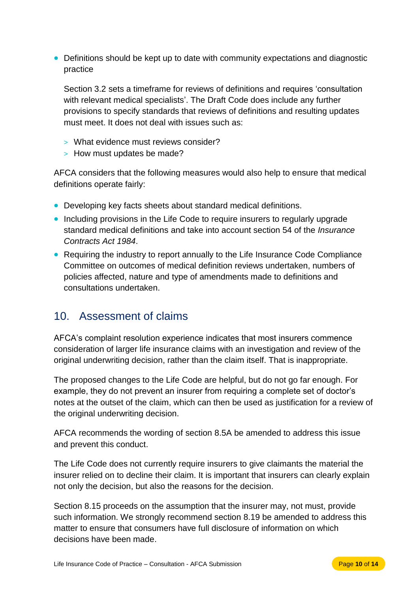• Definitions should be kept up to date with community expectations and diagnostic practice

Section 3.2 sets a timeframe for reviews of definitions and requires 'consultation with relevant medical specialists'. The Draft Code does include any further provisions to specify standards that reviews of definitions and resulting updates must meet. It does not deal with issues such as:

- > What evidence must reviews consider?
- > How must updates be made?

AFCA considers that the following measures would also help to ensure that medical definitions operate fairly:

- Developing key facts sheets about standard medical definitions.
- Including provisions in the Life Code to require insurers to regularly upgrade standard medical definitions and take into account section 54 of the *Insurance Contracts Act 1984*.
- Requiring the industry to report annually to the Life Insurance Code Compliance Committee on outcomes of medical definition reviews undertaken, numbers of policies affected, nature and type of amendments made to definitions and consultations undertaken.

## <span id="page-11-0"></span>10. Assessment of claims

AFCA's complaint resolution experience indicates that most insurers commence consideration of larger life insurance claims with an investigation and review of the original underwriting decision, rather than the claim itself. That is inappropriate.

The proposed changes to the Life Code are helpful, but do not go far enough. For example, they do not prevent an insurer from requiring a complete set of doctor's notes at the outset of the claim, which can then be used as justification for a review of the original underwriting decision.

AFCA recommends the wording of section 8.5A be amended to address this issue and prevent this conduct.

The Life Code does not currently require insurers to give claimants the material the insurer relied on to decline their claim. It is important that insurers can clearly explain not only the decision, but also the reasons for the decision.

Section 8.15 proceeds on the assumption that the insurer may, not must, provide such information. We strongly recommend section 8.19 be amended to address this matter to ensure that consumers have full disclosure of information on which decisions have been made.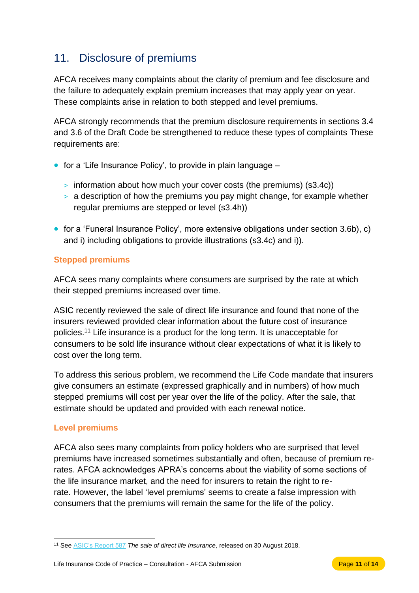# <span id="page-12-0"></span>11. Disclosure of premiums

AFCA receives many complaints about the clarity of premium and fee disclosure and the failure to adequately explain premium increases that may apply year on year. These complaints arise in relation to both stepped and level premiums.

AFCA strongly recommends that the premium disclosure requirements in sections 3.4 and 3.6 of the Draft Code be strengthened to reduce these types of complaints These requirements are:

- for a 'Life Insurance Policy', to provide in plain language
	- > information about how much your cover costs (the premiums) (s3.4c))
	- > a description of how the premiums you pay might change, for example whether regular premiums are stepped or level (s3.4h))
- for a 'Funeral Insurance Policy', more extensive obligations under section 3.6b), c) and i) including obligations to provide illustrations (s3.4c) and i)).

### **Stepped premiums**

AFCA sees many complaints where consumers are surprised by the rate at which their stepped premiums increased over time.

ASIC recently reviewed the sale of direct life insurance and found that none of the insurers reviewed provided clear information about the future cost of insurance policies.<sup>11</sup> Life insurance is a product for the long term. It is unacceptable for consumers to be sold life insurance without clear expectations of what it is likely to cost over the long term.

To address this serious problem, we recommend the Life Code mandate that insurers give consumers an estimate (expressed graphically and in numbers) of how much stepped premiums will cost per year over the life of the policy. After the sale, that estimate should be updated and provided with each renewal notice.

### **Level premiums**

AFCA also sees many complaints from policy holders who are surprised that level premiums have increased sometimes substantially and often, because of premium rerates. AFCA acknowledges APRA's concerns about the viability of some sections of the life insurance market, and the need for insurers to retain the right to rerate. However, the label 'level premiums' seems to create a false impression with consumers that the premiums will remain the same for the life of the policy.

 $\overline{a}$ <sup>11</sup> See [ASIC's Report 587](file:///C:/Users/cbruns/AppData/Local/Microsoft/Windows/Temporary%20Internet%20Files/Content.Outlook/NOVMT3UX/rep-587-the-sale-of-direct-life-insurance) *The sale of direct life Insurance*, released on 30 August 2018.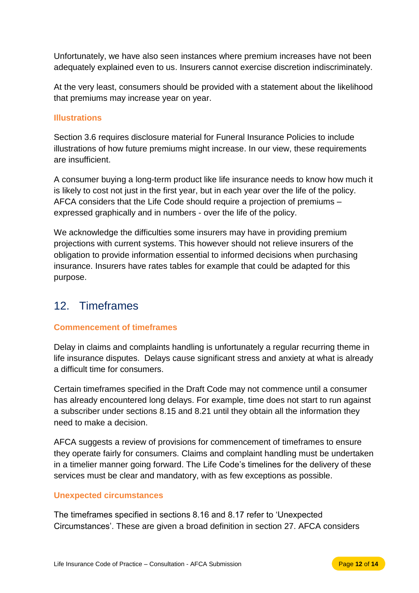Unfortunately, we have also seen instances where premium increases have not been adequately explained even to us. Insurers cannot exercise discretion indiscriminately.

At the very least, consumers should be provided with a statement about the likelihood that premiums may increase year on year.

### **Illustrations**

Section 3.6 requires disclosure material for Funeral Insurance Policies to include illustrations of how future premiums might increase. In our view, these requirements are insufficient.

A consumer buying a long-term product like life insurance needs to know how much it is likely to cost not just in the first year, but in each year over the life of the policy. AFCA considers that the Life Code should require a projection of premiums – expressed graphically and in numbers - over the life of the policy.

We acknowledge the difficulties some insurers may have in providing premium projections with current systems. This however should not relieve insurers of the obligation to provide information essential to informed decisions when purchasing insurance. Insurers have rates tables for example that could be adapted for this purpose.

## <span id="page-13-0"></span>12. Timeframes

### **Commencement of timeframes**

Delay in claims and complaints handling is unfortunately a regular recurring theme in life insurance disputes. Delays cause significant stress and anxiety at what is already a difficult time for consumers.

Certain timeframes specified in the Draft Code may not commence until a consumer has already encountered long delays. For example, time does not start to run against a subscriber under sections 8.15 and 8.21 until they obtain all the information they need to make a decision.

AFCA suggests a review of provisions for commencement of timeframes to ensure they operate fairly for consumers. Claims and complaint handling must be undertaken in a timelier manner going forward. The Life Code's timelines for the delivery of these services must be clear and mandatory, with as few exceptions as possible.

### **Unexpected circumstances**

The timeframes specified in sections 8.16 and 8.17 refer to 'Unexpected Circumstances'. These are given a broad definition in section 27. AFCA considers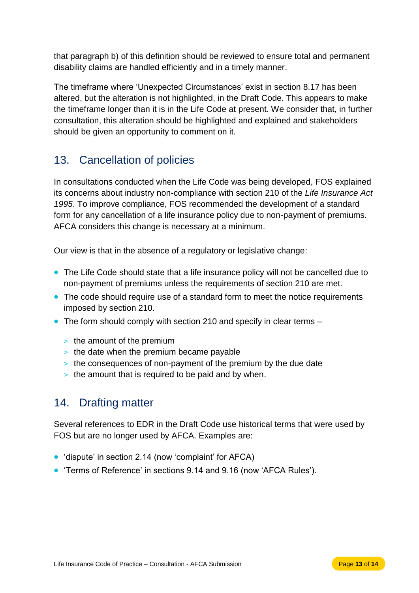that paragraph b) of this definition should be reviewed to ensure total and permanent disability claims are handled efficiently and in a timely manner.

The timeframe where 'Unexpected Circumstances' exist in section 8.17 has been altered, but the alteration is not highlighted, in the Draft Code. This appears to make the timeframe longer than it is in the Life Code at present. We consider that, in further consultation, this alteration should be highlighted and explained and stakeholders should be given an opportunity to comment on it.

## <span id="page-14-0"></span>13. Cancellation of policies

In consultations conducted when the Life Code was being developed, FOS explained its concerns about industry non-compliance with section 210 of the *Life Insurance Act 1995*. To improve compliance, FOS recommended the development of a standard form for any cancellation of a life insurance policy due to non-payment of premiums. AFCA considers this change is necessary at a minimum.

Our view is that in the absence of a regulatory or legislative change:

- The Life Code should state that a life insurance policy will not be cancelled due to non-payment of premiums unless the requirements of section 210 are met.
- The code should require use of a standard form to meet the notice requirements imposed by section 210.
- The form should comply with section 210 and specify in clear terms
	- > the amount of the premium
	- $\geq$  the date when the premium became payable
	- > the consequences of non-payment of the premium by the due date
	- > the amount that is required to be paid and by when.

## <span id="page-14-1"></span>14. Drafting matter

Several references to EDR in the Draft Code use historical terms that were used by FOS but are no longer used by AFCA. Examples are:

- 'dispute' in section 2.14 (now 'complaint' for AFCA)
- 'Terms of Reference' in sections 9.14 and 9.16 (now 'AFCA Rules').